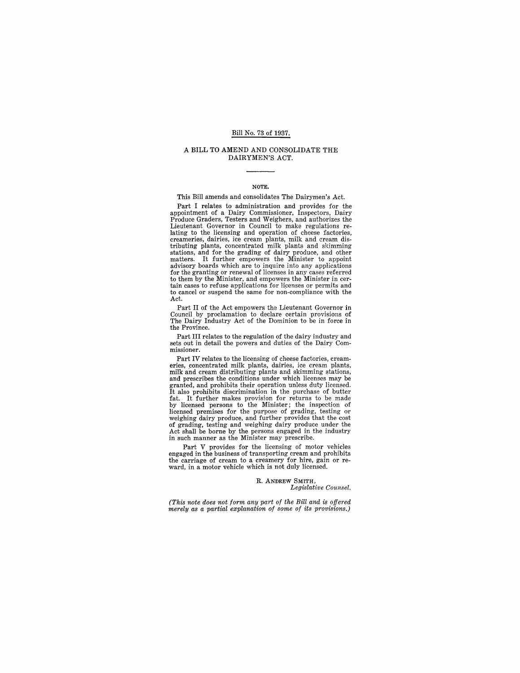# Bill No. 73 of 1937.

#### A BILL TO AMEND AND CONSOLIDATE THE DAIRYMEN'S ACT.

#### NOTE.

This Bill amends and consolidates The Dairymen's Act.

Part I relates to administration and provides for the appointment of a Dairy Commissioner, Inspectors, Dairy Produce Graders, Testers and Weighers, and authorizes the Lieutenant Governor in Council to make regulations re- lating to the licensing and operation of cheese factories, creameries, dairies, ice cream plants, milk and cream distributing plants, concentrated milk plants and skimming stations, and for the grading of dairy produce, and other matters. It further empowers the Minister to appoin advisory boards which are to inquire into any applications for the granting or renewal of licenses in any cases referred<br>to them by the Minister, and empowers the Minister in certain cases to refuse applications for licenses or permits and to cancel or suspend the same for non-compliance with the Act.

Part II of the Act empowers the Lieutenant Governor in Council by proclamation to declare certain provisions of The Dairy Industry Act of the Dominion to be in force in the Province.

Part III relates to the regulation of the dairy industry and sets out in detail the powers and duties of the Dairy Commissioner.

Part IV relates to the licensing of cheese factories, cream- eries, concentrated milk plants, dairies, ice cream plants, milk and cream distributing plants and skimming stations, and prescribes the conditions under which licenses may be granted, and prohibits their operation unless duty licensed. It also prohibits discrimination in the purchase of butter fat. It further makes provision for returns to be made by licensed persons to the Minister; the inspection of licensed premises for the purpose of grading, testing or weighing dairy produce, and further provides that the cost of grading, testing and weighing dairy produce under the Act shall be borne by the persons engaged in the industry in such manner as the Minister may prescribe.

Part V provides for the licensing of motor vehicles engaged in the business of transporting cream and prohibits ward, in a motor vehicle which is not duly licensed.

> R. ANDREW SMITH, *Legislative Counsel.*

*(This note does not form any part of the Bill and is offered merely as a partial explanation of some of its provisions.)*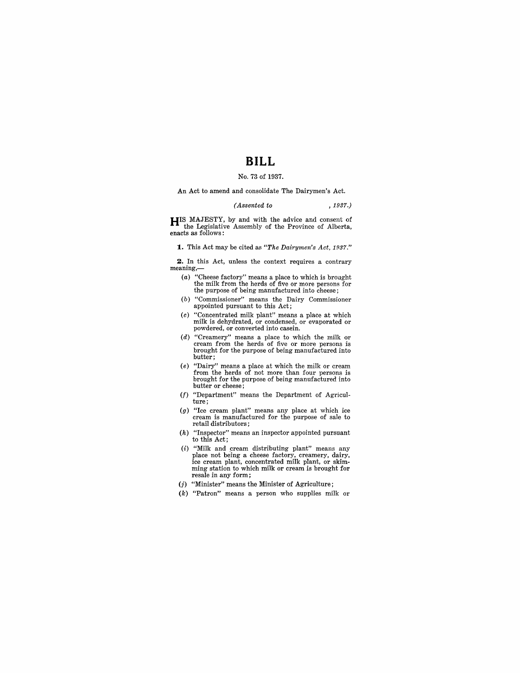# **BILL**

# No. 73 of 1937.

An Act to amend and consolidate The Dairymen's Act.

## *(Assented to* , 1937.)

**HIS** MAJESTY, by and with the advice and consent of the Legislative Assembly of the Province of Alberta, enacts as follows:

**1.** This Act may be cited as *"The Dairymen's Act, 1937."* 

**2.** In this Act, unless the context requires a contrary meaning,-

- (a) "Cheese factory" means a place to which is brought the milk from the herds of five or more persons for the purpose of being manufactured into cheese;
- (b) "Commissioner" means the Dairy Commissioner appointed pursuant to this Act;
- (c) "Concentrated milk plant" means a place at which milk is dehydrated, or condensed, or evaporated or powdered, or converted into casein.
- ( $d$ ) "Creamery" means a place to which the milk or cream from the herds of five or more persons is brought for the purpose of being manufactured into butter;
- (e) "Dairy" means a place at which the milk or cream from the herds of not more than four persons is brought for the purpose of being manufactured into butter or cheese;
- $(f)$  "Department" means the Department of Agriculture;
- (g) "Ice cream plant" means any place at which ice cream is manufactured for the purpose of sale to retail distributors;
- (h) "Inspector" means an inspector appointed pursuant to this Act;
- $(i)$  "Milk and cream distributing plant" means any place not being a cheese factory, creamery, dairy, ice cream plant, concentrated milk plant, or skimming station to which milk or cream is brought for resale in any form;
- $(j)$  "Minister" means the Minister of Agriculture;
- (k) "Patron" means a person who supplies milk or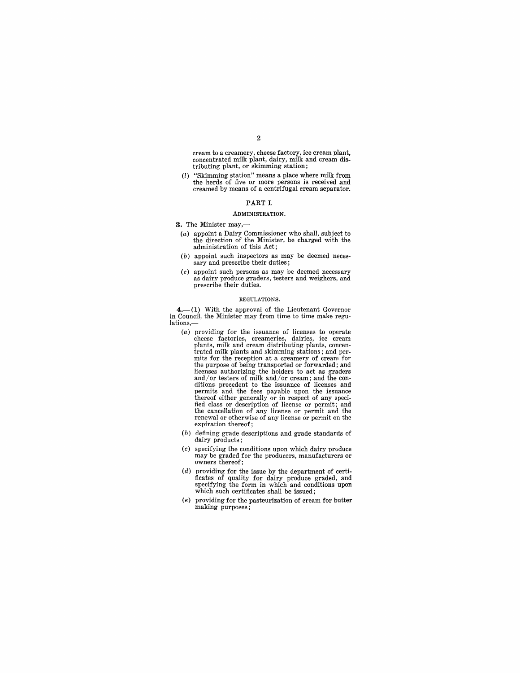2

cream to a creamery, cheese factory, ice cream plant, concentrated milk plant, dairy, milk and cream distributing plant, or skimming station;

(l) "Skimming station" means a place where milk from the herds of five or more persons is received and creamed by means of a centrifugal cream separator.

## PART I.

#### ADMINISTRATION.

**3.** The Minister may,-

- (a) appoint a Dairy Commissioner who shall, subject to the direction of the Minister, be charged with the administration of this Act;
- (b) appoint such inspectors as may be deemed neces- sary and prescribe their duties;
- (c) appoint such persons as may be deemed necessary as dairy produce graders, testers and weighers, and prescribe their duties.

#### REGULATIONS.

 $4.$   $-$ (1) With the approval of the Lieutenant Governor in Council, the Minister may from time to time make regulations,

- (a) providing for the issuance of licenses to operate plants, milk and cream distributing plants, concentrated milk plants and skimming stations; and permits for the reception at a creamery of cream for the purpose of being transported or forwarded; and licenses authorizing the holders to act as graders and / or testers of milk and / or cream; and the con-<br>ditions precedent to the issuance of licenses and permits and the fees payable upon the issuance thereof either generally or in respect of any specified class or description of license or permit; and the cancellation of any license or permit and the renewal or otherwise of any license or permit on the expiration thereof;
- (b) defining grade descriptions and grade standards of dairy products;
- (c) specifying the conditions upon which dairy produce may be graded for the producers, manufacturers or owners thereof;
- (d) providing for the issue by the department of certificates of quality for dairy produce graded, and specifying the form in which and conditions upon which such certificates shall be issued;
- (e) providing for the pasteurization of cream for butter making purposes;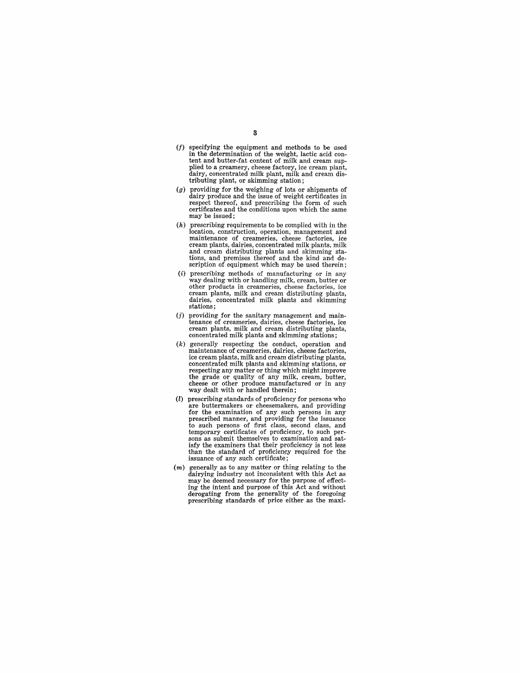- $(f)$  specifying the equipment and methods to be used in the determination of the weight, lactic acid content and butter-fat content of milk and cream supplied to a creamery, cheese factory, ice cream plant,<br>dairy, concentrated milk plant, milk and cream distributing plant, or skimming station;
- (g) providing for the weighing of lots or shipments of dairy produce and the issue of weight certificates in respect thereof, and prescribing the form of such certificates and the conditions upon which the same may be issued;
- $(h)$  prescribing requirements to be complied with in the location, construction, operation, management and maintenance of creameries, cheese factories, ice cream plants, dairies, concentrated milk plants, milk and cream distributing plants and skimming stations, and premises thereof and the kind and description of equipment which may be used therein;
- $(i)$  prescribing methods of manufacturing or in any way dealing with or handling milk, cream, butter or other products in creameries, cheese factories, ice cream plants, milk and cream distributing plants, dairies, concentrated milk plants and skimming stations;
- $(j)$  providing for the sanitary management and main-<br>tenance of creameries, dairies, cheese factories, ice cream plants, milk and cream distributing plants, concentrated milk plants and skimming stations;
- (k) generally respecting the conduct, operation and maintenance of creameries, dairies, cheese factories, ice cream plants, milk and cream distributing plants, respecting any matter or thing which might improve the grade or quality of any milk, cream, butter, cheese or other produce manufactured or in any way dealt with or handled therein;
- (l) prescribing standards of proficiency for persons who are buttermakers or cheesemakers, and providing for the examination of any such persons in any<br>prescribed manner, and providing for the issuance<br>to such persons of first class, second class, and<br>temporary certificates of proficiency, to such per-<br>sons as submit themselv isfy the examiners that their proficiency is not less than the standard of proficiency required for the issuance of any such certificate;
- $(m)$  generally as to any matter or thing relating to the dairying industry not inconsistent with this Act as may be deemed necessary for the purpose of effecting the intent and purpose of this Act and without derogating from the generality of the foregoing prescribing standards of price either as the maxi-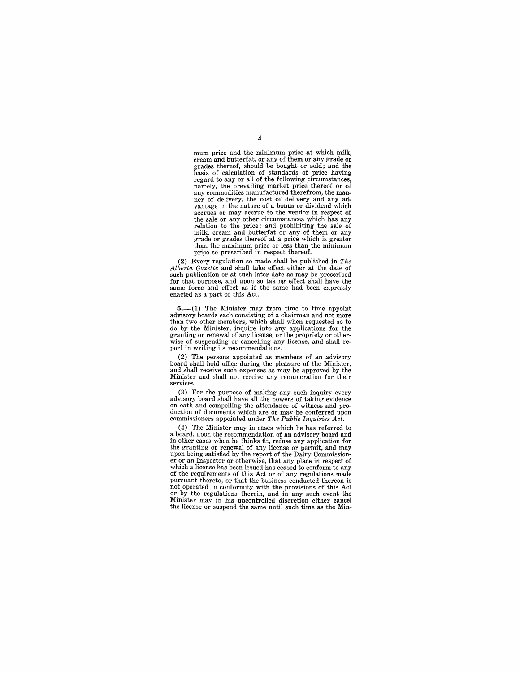mum price and the minimum price at which milk, cream and butterfat, or any of them or any grade or grades thereof, should be bought or sold; and the basis of calculation of standards of price having regard to any  $or$  all of the following circumstances, namely, the prevailing market price thereof or of any commodities manufactured therefrom, the manufactured ner of delivery, the cost of delivery and any advantage in the nature of a bonus or dividend which accrues or may accrue to the vendor in respect of the sale or any other circumstances which has any relation to the price: and prohibiting the sale of milk, cream and butterfat or any of them or any grade or grades thereof at a price which is greater than the maximum price or less than the minimum price so prescribed in respect thereof.

(2) Every regulation so made shall be published in *The Alberta Gazette* and shall take effect either at the date of such publication or at such later date as may be prescribed for that purpose, and upon so taking effect shall have the same force and effect as if the same had been expressly enacted as a part of this Act.

 $5$ .—(1) The Minister may from time to time appoint advisory boards each consisting of a chairman and not more than two other members, which shall when requested so to do by the Minister, inquire into any applications for the granting or renewal of any license, or the propriety or otherwise of suspending or cancelling any license, and shall report in writing its recommendations.

(2) The persons appointed as members of an advisory board shall hold office during the pleasure of the Minister. and shall receive such expenses as may be approved by the Minister and shall not receive any remuneration for their services.

(3) For the purpose of making any such inquiry every on oath and compelling the attendance of witness and production of documents which are or may be conferred upon

commissioners appointed under *The Public Inquiries Act.*  a board, upon the recommendation of an advisory board and in other cases when he thinks fit, refuse any application for the granting or renewal of any license or permit, and may upon being satisfied by the report of the Dairy Commission- er or an Inspector or otherwise, that any place in respect of which a license has been issued has ceased to conform to any of the requirements of this Act or of any regulations made pursuant thereto, or that the business conducted thereon is or by the regulations therein, and in any such event the Minister may in his uncontrolled discretion either cancel the license or suspend the same until such time as the Min-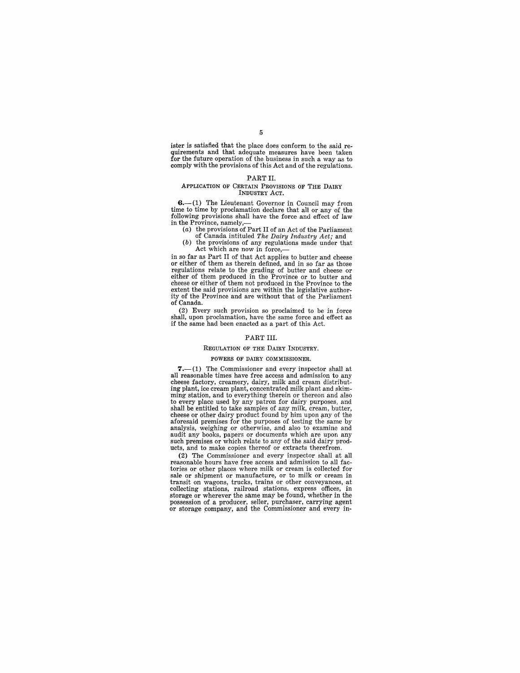5

ister is satisfied that the place does conform to the said re- quirements and that adequate measures have been taken for the future operation of the business in such a way as to comply with the provisions of this Act and of the regulations.

## PART II.

#### ApPLICATION OF CERTAIN PROVISIONS OF THE DAIRY INDUSTRY ACT.

6.-(1) The Lieutenant Governor in Council may from time to time by proclamation declare that all or any of the following provisions shall have the force and effect of law in the Province, namely,-

(a) the provisions of Part II of an Act of the Parliament

of Canada intituled *The Dairy Industry Act;* and (b) the provisions of any regulations made under that

Act which are now in force,—<br>in so far as Part II of that Act applies to butter and cheese or either of them as therein defined, and in so far as those regulations relate to the grading of butter and cheese or either of them produced in the Province or to butter and cheese or either of them not produced in the Province to the extent the said provisions are within the legislative authority of the Province and are without that of the Parliament of Canada.

(2) Every such provision so proclaimed to be in force if the same had been enacted as a part of this Act.

# PART III.

#### REGULATION OF THE DAIRY INDUSTRY.

#### POWERS OF DAIRY COMMISSIONER.

 $7.-(1)$  The Commissioner and every inspector shall at all reasonable times have free access and admission to any cheese factory, creamery, dairy, milk and cream distribut-ing plant, ice cream plant, concentrated milk plant and skimming station, and to everything therein or thereon and also to every place used by any patron for dairy purposes, and shall be entitled to take samples of any milk, cream, butter, cheese or other dairy product found by him upon any of the aforesaid premises for the purposes of testing the same by analysis, weighing or otherwise, and also to examine and audit any books, papers or documents which are upon any such premises or which relate to any of the said dairy products, and to make copies thereof or extracts therefrom.

(2) The Commissioner and every inspector shall at all reasonable hours have free access and admission to all factories or other places where milk or cream is collected for sale or shipment or manufacture, or to milk or cream in transit on wagons, trucks, trains or other conveyances, at collecting stations, railroad stations, express offices, in storage or wherever the same may be found, whether in the possession of a producer, seller, purchaser, carrying agent or storage company, and the Commissioner and every in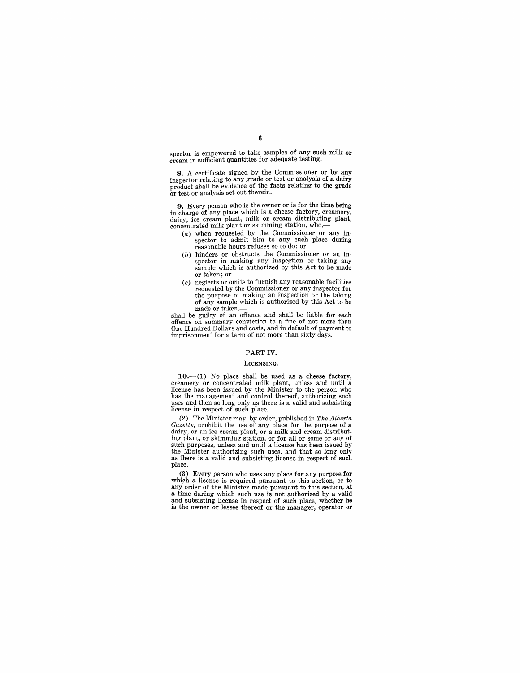spector is empowered to take samples of any such milk or cream in sufficient quantities for adequate testing.

8. A certificate signed by the Commissioner or by any inspector relating to any grade or test or analysis of a dairy product shall be evidence of the facts relating to the grade or test or analysis set out therein.

**9.** Every person who is the owner or is for the time being in charge of any place which is a cheese factory, creamery, dairy, ice cream plant, milk or cream distributing plant, concentrated milk plant or skimming station, who,-

- (a) when requested by the Commissioner or any inspector to admit him to any such place during reasonable hours refuses so to do; or
- (b) hinders or obstructs the Commissioner or an inspector in making any inspection or taking any sample which is authorized by this Act to be made or taken; or
- (c) neglects or omits to furnish any reasonable facilities requested by the Commissioner or any inspector for the purpose of making an inspection or the taking of any sample which is authorized by this Act to be made or taken,-

shall be guilty of an offence and shall be liable for each offence on summary conviction to a fine of not more than One Hundred Dollars and costs, and in default of payment to imprisonment for a term of not more than sixty days.

# PART IV.

### LICENSING.

 $10.-(1)$  No place shall be used as a cheese factory, creamery or concentrated milk plant, unless and until a license has been issued by the Minister to the person who has the management and control thereof, authorizing such uses and then so long only as there is a valid and subsisting license in respect of such place.

(2) The Minister may, by order, published in *The Alberta Gazette,* prohibit the use of any place for the purpose of a dairy, or an ice cream plant, or a milk and cream distributing plant, or skimming station, or for all or some or any of such purposes, unless and until a license has been issued by the Minister authorizing such uses, and that so long only as there is a valid and subsisting license in respect of such place.

(3) Every person who uses any place for any purpose for which a license is required pursuant to this section, or to any order of the Minister made pursuant to this section, at a time during which such use is not authorized by a valid and subsisting license in respect of such place, whether he is the owner or lessee thereof or the manager, operator or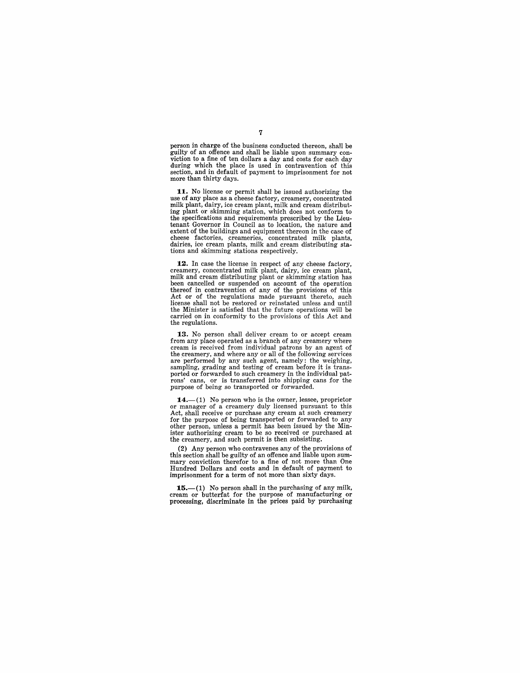person in charge of the business conducted thereon, shall be viction to a fine of ten dollars a day and costs for each day during which the place is used in contravention of this section, and in default of payment to imprisonment for not more than thirty days.

**11.** No license or permit shall be issued authorizing the use of any place as a cheese factory, creamery, concentrated milk plant, dairy, ice cream plant, milk and cream distributing plant or skimming station, which does not conform to the specifications and requirements prescribed by the Lieutenant Governor in Council as to location, the nature and extent of the buildings and equipment thereon in the case of cheese factories, creameries, concentrated milk plants, dairies, ice cream plants, milk and cream distributing stations and skimming stations respectively.

**12.** In case the license in respect of any cheese factory, creamery, concentrated milk plant, dairy, ice cream plant, milk and cream distributing plant or skimming station has been cancelled or suspended on account of the operation thereof in contravention of any of the provisions of this Act or of the regulations made pursuant thereto, such license shall not be restored or reinstated unless and until the Minister is satisfied that the future operations will be carried on in conformity to the provisions of this Act and the regulations.

**13.** No person shall deliver cream to or accept cream from any place operated as a branch of any creamery where cream is received from individual patrons by an agent of the creamery, and where any or all of the following services are performed by any such agent, namely: the weighing, sampling, grading and testing of cream before it is transported or forwarded to such creamery in the individual patrons' cans, or is transferred into shipping cans for the purpose of being so transported or forwarded.

**14.**--(1) No person who is the owner, lessee, proprietor or manager of a creamery duly licensed pursuant to this Act, shall receive or purchase any cream at such creamery for the purpose of being transported or forwarded to any other person, unless a permit has been issued by the Minister authorizing cream to be so received or purchased at the creamery, and such permit is then subsisting.

(2) Any person who contravenes any of the provisions of mary conviction therefor to a fine of not more than One Hundred Dollars and costs and in default of payment to imprisonment for a term of not more than sixty days.

15.—(1) No person shall in the purchasing of any milk, cream or butterfat for the purpose of manufacturing or processing, discriminate in the prices paid by purchasing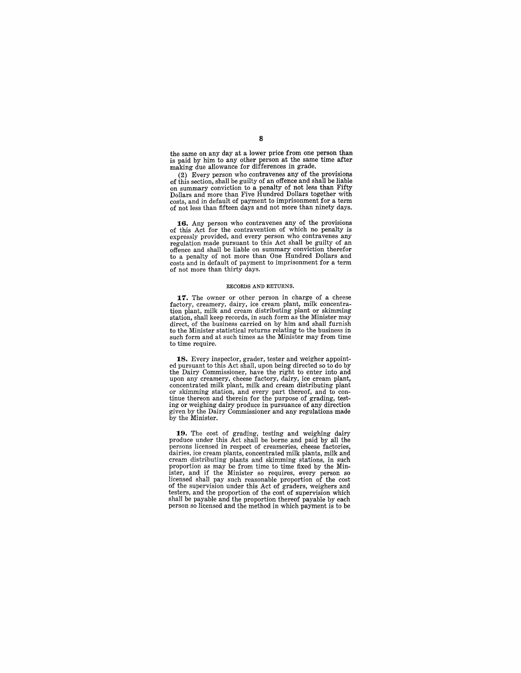the same on any day at a lower price from one person than is paid by him to any other person at the same time after making due allowance for differences in grade.

(2) Every person who contravenes any of the provisions of this section, shall be guilty of an offence and shall be liable on summary conviction to a penalty of not less than Fifty Dollars and more than Five Hundred Dollars together with costs, and in default of payment to imprisonment for a term of not less than fifteen days and not more than ninety days.

**16.** Any person who contravenes any of the provisions of this Act for the contravention of which no penalty is expressly 'provided, and every person who contravenes any regulation made pursuant to this Act shall be guilty of an offence and shall be liable on summary conviction therefor to a penalty of not more than One Hundred Dollars and costs and in default of payment to imprisonment for a term of not more than thirty days.

#### RECORDS AND RETURNS.

**17.** The owner or other person in charge of a cheese factory, creamery, dairy, ice cream plant, milk concentration plant, milk and cream distributing plant or skimming station, shall keep records, in such form as the Minister may direct, of the business carried on by him and shall furnish to the Minister statistical returns relating to the business in such form and at such times as the Minister may from time to time require.

**18.** Every inspector, grader, tester and weigher appointed pursuant to this Act shall, upon being directed so to do by the Dairy Commissioner, have the right to enter into and upon any creamery, cheese factory, dairy, ice cream plant, concentrated milk plant, milk and cream distributing plant or skimming station, and every part thereof, and to con-<br>tinue thereon and therein for the purpose of grading, testing or weighing dairy produce in pursuance of any direction given by the Dairy Commissioner and any regulations made by the Minister.

**19.** The cost of grading, testing and weighing dairy produce under this Act shall be borne and paid by all the persons licensed in respect of creameries, cheese factories, cream distributing plants and skimming stations, in such proportion as may be from time to time fixed by the Minister, and if the Minister so requires, every person so licensed shall pay such reasonable proportion of the cost of the supervision under this Act of graders, weighers and testers, and the proportion of the cost of supervision which shall be payable and the proportion thereof payable by each person so licensed and the method in which payment is to be

8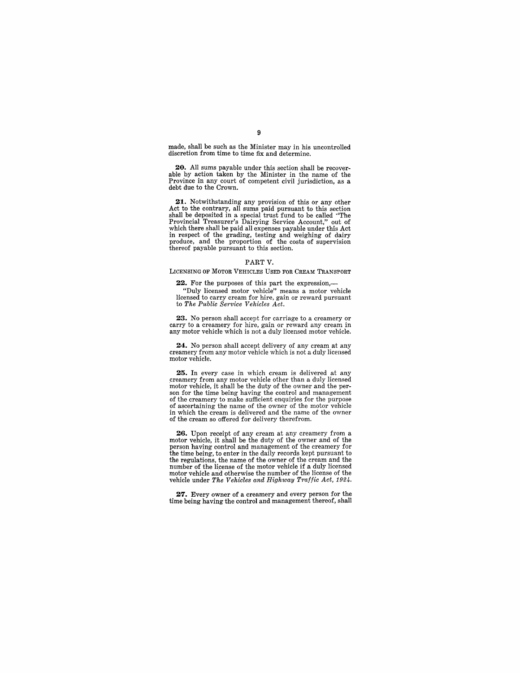made, shall be such as the Minister may in his uncontrolled discretion from time to time fix and determine.

**20.** All sums payable under this section shall be recover-<br>able by action taken by the Minister in the name of the Province in any court of competent civil jurisdiction, as a debt due to the Crown.

**21.** Notwithstanding any provision of this or any other Act to the contrary, all sums paid pursuant to this section shall be deposited in a special trust fund to be called "The Provincial Treasurer's Dairying Service Account," out of which there shall be paid all expenses payable under this Act in respect of the grading, testing and weighing of dairy produce, and the proportion of the costs of supervision thereof payable pursuant to this section.

#### PART V.

#### LICENSING OF MOTOR VEHICLES USED FOR CREAM TRANSPORT

22. For the purposes of this part the expression,-

"Duly licensed motor vehicle" means a motor vehicle licensed to carry cream for hire, gain or reward pursuant to *The Public Service Vehicles Act.* 

**23.** No person shall accept for carriage to a creamery or carry to a creamery for hire, gain or reward any cream in any motor vehicle which is not a duly licensed motor vehicle.

**24.** No person shall accept delivery of any cream at any creamery from any motor vehicle which is not a duly licensed motor vehicle.

**25.** In every case in which cream is delivered at any .creamery from any motor vehicle other than a duly licensed son for the time being having the control and management of the creamery to make sufficient enquiries for the purpose of ascertaining the name of the owner of the motor vehicle in which the cream is delivered and the name of the owner of the cream so offered for delivery therefrom.

**26.** Upon receipt of any cream at any creamery from a motor vehicle, it shall be the duty of the owner and of the person having control and management of the creamery for the time being, to enter in the daily records kept pursuant to the regulations, the name of the owner of the cream and the number of the license of the motor vehicle if a duly licensed motor vehicle and otherwise the number of the license of the vehicle under *The Vehicles and Highway Traffic Act, 1924.* 

**27.** Every owner of a creamery and every person for the time being having the control and management thereof, shall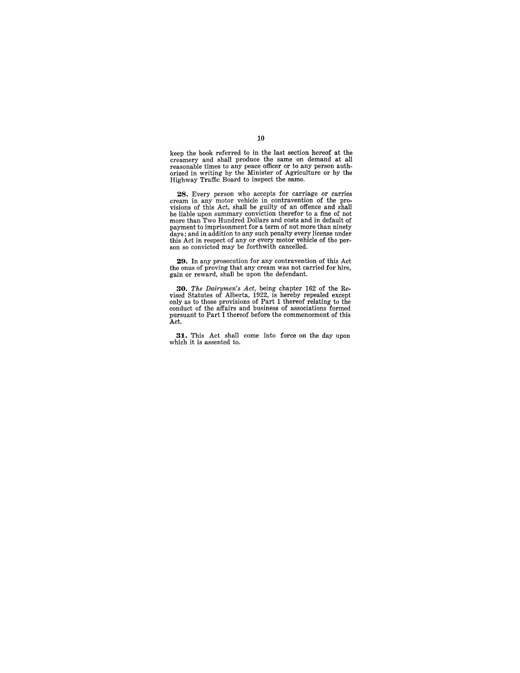keep the book referred to in the last section hereof at the creamery and shall produce the same on demand at all reasonable times to any peace officer or to any person authorized in writing by the Minister of Agriculture or by the Highway Traffic Board to inspect the same.

**28.** Every person who accepts for carriage or carries cream in any motor vehicle in contravention of the pro-<br>visions of this Act, shall be guilty of an offence and shall be liable upon summary conviction therefor to a fine of not more than Two Hundred Dollars and costs and in default of payment to imprisonment for a term of not more than ninety days; and in addition to any such penalty every license under this Act in respect of any or every motor vehicle of the per- son so convicted may be forthwith cancelled.

**29.** In any prosecution for any contravention of this Act the onus of proving that any cream was not carried for hire, gain or reward, shall be upon the defendant.

**30.** The Dairymen's Act, being chapter  $162$  of the Revised Statutes of Alberta,  $1922$ , is hereby repealed except only as to those provisions of Part 1 thereof relating to the conduct of the affairs and business of asso pursuant to Part I thereof before the commencement of this Act.

**31.** This Act shall come into force on the day upon which it is assented to.